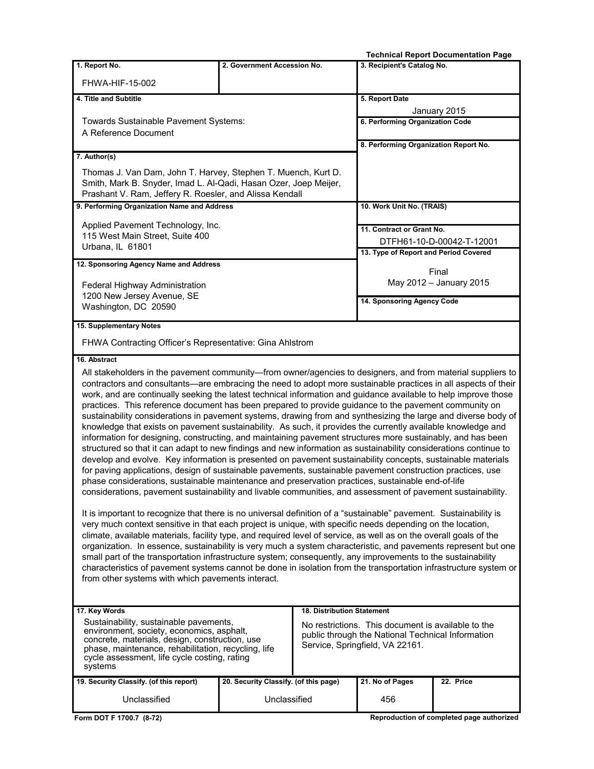|                                                                                                                                                                                                                                                                                                                                                                                                                                                                                                                                                                                                                                                                                                                                                                                                                                                                                                                                                                                                                                                                                                                                                                                                                                                                                                                                                                                                                                                                                                                                                                                                                                                                                                                                                                                                                                                                                                                                                                                                                                                                                                                                                     |                                       |  |                                       | <b>Technical Report Documentation Page</b> |
|-----------------------------------------------------------------------------------------------------------------------------------------------------------------------------------------------------------------------------------------------------------------------------------------------------------------------------------------------------------------------------------------------------------------------------------------------------------------------------------------------------------------------------------------------------------------------------------------------------------------------------------------------------------------------------------------------------------------------------------------------------------------------------------------------------------------------------------------------------------------------------------------------------------------------------------------------------------------------------------------------------------------------------------------------------------------------------------------------------------------------------------------------------------------------------------------------------------------------------------------------------------------------------------------------------------------------------------------------------------------------------------------------------------------------------------------------------------------------------------------------------------------------------------------------------------------------------------------------------------------------------------------------------------------------------------------------------------------------------------------------------------------------------------------------------------------------------------------------------------------------------------------------------------------------------------------------------------------------------------------------------------------------------------------------------------------------------------------------------------------------------------------------------|---------------------------------------|--|---------------------------------------|--------------------------------------------|
| 1. Report No.                                                                                                                                                                                                                                                                                                                                                                                                                                                                                                                                                                                                                                                                                                                                                                                                                                                                                                                                                                                                                                                                                                                                                                                                                                                                                                                                                                                                                                                                                                                                                                                                                                                                                                                                                                                                                                                                                                                                                                                                                                                                                                                                       | 2. Government Accession No.           |  | 3. Recipient's Catalog No.            |                                            |
| FHWA-HIF-15-002                                                                                                                                                                                                                                                                                                                                                                                                                                                                                                                                                                                                                                                                                                                                                                                                                                                                                                                                                                                                                                                                                                                                                                                                                                                                                                                                                                                                                                                                                                                                                                                                                                                                                                                                                                                                                                                                                                                                                                                                                                                                                                                                     |                                       |  |                                       |                                            |
| 4. Title and Subtitle                                                                                                                                                                                                                                                                                                                                                                                                                                                                                                                                                                                                                                                                                                                                                                                                                                                                                                                                                                                                                                                                                                                                                                                                                                                                                                                                                                                                                                                                                                                                                                                                                                                                                                                                                                                                                                                                                                                                                                                                                                                                                                                               |                                       |  | 5. Report Date                        |                                            |
| Towards Sustainable Pavement Systems:<br>A Reference Document                                                                                                                                                                                                                                                                                                                                                                                                                                                                                                                                                                                                                                                                                                                                                                                                                                                                                                                                                                                                                                                                                                                                                                                                                                                                                                                                                                                                                                                                                                                                                                                                                                                                                                                                                                                                                                                                                                                                                                                                                                                                                       |                                       |  | 6. Performing Organization Code       | January 2015                               |
|                                                                                                                                                                                                                                                                                                                                                                                                                                                                                                                                                                                                                                                                                                                                                                                                                                                                                                                                                                                                                                                                                                                                                                                                                                                                                                                                                                                                                                                                                                                                                                                                                                                                                                                                                                                                                                                                                                                                                                                                                                                                                                                                                     |                                       |  | 8. Performing Organization Report No. |                                            |
| 7. Author(s)<br>Thomas J. Van Dam, John T. Harvey, Stephen T. Muench, Kurt D.<br>Smith, Mark B. Snyder, Imad L. Al-Qadi, Hasan Ozer, Joep Meijer,<br>Prashant V. Ram, Jeffery R. Roesler, and Alissa Kendall                                                                                                                                                                                                                                                                                                                                                                                                                                                                                                                                                                                                                                                                                                                                                                                                                                                                                                                                                                                                                                                                                                                                                                                                                                                                                                                                                                                                                                                                                                                                                                                                                                                                                                                                                                                                                                                                                                                                        |                                       |  |                                       |                                            |
| 9. Performing Organization Name and Address                                                                                                                                                                                                                                                                                                                                                                                                                                                                                                                                                                                                                                                                                                                                                                                                                                                                                                                                                                                                                                                                                                                                                                                                                                                                                                                                                                                                                                                                                                                                                                                                                                                                                                                                                                                                                                                                                                                                                                                                                                                                                                         |                                       |  | 10. Work Unit No. (TRAIS)             |                                            |
| Applied Pavement Technology, Inc.                                                                                                                                                                                                                                                                                                                                                                                                                                                                                                                                                                                                                                                                                                                                                                                                                                                                                                                                                                                                                                                                                                                                                                                                                                                                                                                                                                                                                                                                                                                                                                                                                                                                                                                                                                                                                                                                                                                                                                                                                                                                                                                   |                                       |  | 11. Contract or Grant No.             |                                            |
| 115 West Main Street, Suite 400                                                                                                                                                                                                                                                                                                                                                                                                                                                                                                                                                                                                                                                                                                                                                                                                                                                                                                                                                                                                                                                                                                                                                                                                                                                                                                                                                                                                                                                                                                                                                                                                                                                                                                                                                                                                                                                                                                                                                                                                                                                                                                                     |                                       |  |                                       | DTFH61-10-D-00042-T-12001                  |
| Urbana, IL 61801                                                                                                                                                                                                                                                                                                                                                                                                                                                                                                                                                                                                                                                                                                                                                                                                                                                                                                                                                                                                                                                                                                                                                                                                                                                                                                                                                                                                                                                                                                                                                                                                                                                                                                                                                                                                                                                                                                                                                                                                                                                                                                                                    |                                       |  | 13. Type of Report and Period Covered |                                            |
| 12. Sponsoring Agency Name and Address                                                                                                                                                                                                                                                                                                                                                                                                                                                                                                                                                                                                                                                                                                                                                                                                                                                                                                                                                                                                                                                                                                                                                                                                                                                                                                                                                                                                                                                                                                                                                                                                                                                                                                                                                                                                                                                                                                                                                                                                                                                                                                              |                                       |  |                                       |                                            |
| Federal Highway Administration                                                                                                                                                                                                                                                                                                                                                                                                                                                                                                                                                                                                                                                                                                                                                                                                                                                                                                                                                                                                                                                                                                                                                                                                                                                                                                                                                                                                                                                                                                                                                                                                                                                                                                                                                                                                                                                                                                                                                                                                                                                                                                                      |                                       |  |                                       | Final<br>May 2012 - January 2015           |
| 1200 New Jersey Avenue, SE<br>Washington, DC 20590                                                                                                                                                                                                                                                                                                                                                                                                                                                                                                                                                                                                                                                                                                                                                                                                                                                                                                                                                                                                                                                                                                                                                                                                                                                                                                                                                                                                                                                                                                                                                                                                                                                                                                                                                                                                                                                                                                                                                                                                                                                                                                  |                                       |  | 14. Sponsoring Agency Code            |                                            |
| 15. Supplementary Notes                                                                                                                                                                                                                                                                                                                                                                                                                                                                                                                                                                                                                                                                                                                                                                                                                                                                                                                                                                                                                                                                                                                                                                                                                                                                                                                                                                                                                                                                                                                                                                                                                                                                                                                                                                                                                                                                                                                                                                                                                                                                                                                             |                                       |  |                                       |                                            |
| FHWA Contracting Officer's Representative: Gina Ahlstrom                                                                                                                                                                                                                                                                                                                                                                                                                                                                                                                                                                                                                                                                                                                                                                                                                                                                                                                                                                                                                                                                                                                                                                                                                                                                                                                                                                                                                                                                                                                                                                                                                                                                                                                                                                                                                                                                                                                                                                                                                                                                                            |                                       |  |                                       |                                            |
| 16. Abstract                                                                                                                                                                                                                                                                                                                                                                                                                                                                                                                                                                                                                                                                                                                                                                                                                                                                                                                                                                                                                                                                                                                                                                                                                                                                                                                                                                                                                                                                                                                                                                                                                                                                                                                                                                                                                                                                                                                                                                                                                                                                                                                                        |                                       |  |                                       |                                            |
| All stakeholders in the pavement community—from owner/agencies to designers, and from material suppliers to<br>contractors and consultants—are embracing the need to adopt more sustainable practices in all aspects of their<br>work, and are continually seeking the latest technical information and guidance available to help improve those<br>practices. This reference document has been prepared to provide guidance to the pavement community on<br>sustainability considerations in pavement systems, drawing from and synthesizing the large and diverse body of<br>knowledge that exists on pavement sustainability. As such, it provides the currently available knowledge and<br>information for designing, constructing, and maintaining pavement structures more sustainably, and has been<br>structured so that it can adapt to new findings and new information as sustainability considerations continue to<br>develop and evolve. Key information is presented on pavement sustainability concepts, sustainable materials<br>for paving applications, design of sustainable pavements, sustainable pavement construction practices, use<br>phase considerations, sustainable maintenance and preservation practices, sustainable end-of-life<br>considerations, pavement sustainability and livable communities, and assessment of pavement sustainability.<br>It is important to recognize that there is no universal definition of a "sustainable" pavement. Sustainability is<br>very much context sensitive in that each project is unique, with specific needs depending on the location,<br>climate, available materials, facility type, and required level of service, as well as on the overall goals of the<br>organization. In essence, sustainability is very much a system characteristic, and pavements represent but one<br>small part of the transportation infrastructure system; consequently, any improvements to the sustainability<br>characteristics of pavement systems cannot be done in isolation from the transportation infrastructure system or<br>from other systems with which pavements interact. |                                       |  |                                       |                                            |
| 17. Key Words<br>18. Distribution Statement<br>Sustainability, sustainable pavements,<br>No restrictions. This document is available to the<br>environment, society, economics, asphalt,<br>public through the National Technical Information<br>concrete, materials, design, construction, use<br>Service, Springfield, VA 22161.<br>phase, maintenance, rehabilitation, recycling, life<br>cycle assessment, life cycle costing, rating<br>systems                                                                                                                                                                                                                                                                                                                                                                                                                                                                                                                                                                                                                                                                                                                                                                                                                                                                                                                                                                                                                                                                                                                                                                                                                                                                                                                                                                                                                                                                                                                                                                                                                                                                                                |                                       |  |                                       |                                            |
| 19. Security Classify. (of this report)                                                                                                                                                                                                                                                                                                                                                                                                                                                                                                                                                                                                                                                                                                                                                                                                                                                                                                                                                                                                                                                                                                                                                                                                                                                                                                                                                                                                                                                                                                                                                                                                                                                                                                                                                                                                                                                                                                                                                                                                                                                                                                             | 20. Security Classify. (of this page) |  | 21. No of Pages                       | 22. Price                                  |
| Unclassified                                                                                                                                                                                                                                                                                                                                                                                                                                                                                                                                                                                                                                                                                                                                                                                                                                                                                                                                                                                                                                                                                                                                                                                                                                                                                                                                                                                                                                                                                                                                                                                                                                                                                                                                                                                                                                                                                                                                                                                                                                                                                                                                        | Unclassified                          |  | 456                                   |                                            |
| Form DOT F 1700.7 (8-72)                                                                                                                                                                                                                                                                                                                                                                                                                                                                                                                                                                                                                                                                                                                                                                                                                                                                                                                                                                                                                                                                                                                                                                                                                                                                                                                                                                                                                                                                                                                                                                                                                                                                                                                                                                                                                                                                                                                                                                                                                                                                                                                            |                                       |  |                                       | Reproduction of completed page authorized  |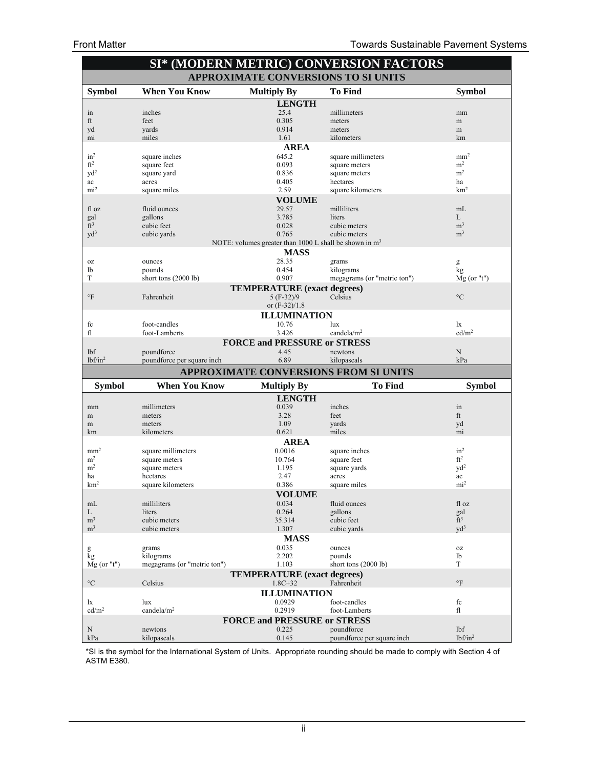| <b>SI* (MODERN METRIC) CONVERSION FACTORS</b> |                                     |                                                                   |                                          |                                    |
|-----------------------------------------------|-------------------------------------|-------------------------------------------------------------------|------------------------------------------|------------------------------------|
| APPROXIMATE CONVERSIONS TO SI UNITS           |                                     |                                                                   |                                          |                                    |
| <b>Symbol</b>                                 | <b>When You Know</b>                | <b>Multiply By</b>                                                | <b>To Find</b>                           | <b>Symbol</b>                      |
|                                               |                                     | <b>LENGTH</b>                                                     |                                          |                                    |
| in                                            | inches                              | 25.4                                                              | millimeters                              | mm                                 |
| ft                                            | feet                                | 0.305                                                             | meters                                   | m                                  |
| yd                                            | yards                               | 0.914                                                             | meters                                   | m                                  |
| mi                                            | miles                               | 1.61                                                              | kilometers                               | km                                 |
| in <sup>2</sup>                               | square inches                       | <b>AREA</b><br>645.2                                              | square millimeters                       | mm <sup>2</sup>                    |
| ft <sup>2</sup>                               | square feet                         | 0.093                                                             | square meters                            | m <sup>2</sup>                     |
| $\rm yd^2$                                    | square yard                         | 0.836                                                             | square meters                            | m <sup>2</sup>                     |
| ac                                            | acres                               | 0.405                                                             | hectares                                 | ha                                 |
| mi <sup>2</sup>                               | square miles                        | 2.59                                                              | square kilometers                        | km <sup>2</sup>                    |
|                                               |                                     | <b>VOLUME</b>                                                     |                                          |                                    |
| fl oz                                         | fluid ounces                        | 29.57                                                             | milliliters                              | mL                                 |
| gal                                           | gallons                             | 3.785                                                             | liters                                   | L                                  |
| ft <sup>3</sup>                               | cubic feet                          | 0.028                                                             | cubic meters                             | m <sup>3</sup>                     |
| $\text{yd}^3$                                 | cubic yards                         | 0.765<br>NOTE: volumes greater than 1000 L shall be shown in $m3$ | cubic meters                             | m <sup>3</sup>                     |
|                                               |                                     | <b>MASS</b>                                                       |                                          |                                    |
| 0Z                                            | ounces                              | 28.35                                                             | grams                                    | g                                  |
| lb                                            | pounds                              | 0.454                                                             | kilograms                                | kg                                 |
| T                                             | short tons (2000 lb)                | 0.907                                                             | megagrams (or "metric ton")              | $Mg$ (or "t")                      |
|                                               |                                     | <b>TEMPERATURE</b> (exact degrees)                                |                                          |                                    |
| $\circ$ F                                     | Fahrenheit                          | $5(F-32)/9$                                                       | Celsius                                  | $\rm ^{\circ}C$                    |
|                                               |                                     | or (F-32)/1.8                                                     |                                          |                                    |
|                                               |                                     | <b>ILLUMINATION</b>                                               |                                          |                                    |
| fc                                            | foot-candles                        | 10.76                                                             | $\ln x$                                  | lx                                 |
| fl                                            | foot-Lamberts                       | 3.426                                                             | candela/ $m2$                            | cd/m <sup>2</sup>                  |
|                                               |                                     | <b>FORCE and PRESSURE or STRESS</b>                               |                                          |                                    |
| lbf<br>$lbf/in^2$                             | poundforce                          | 4.45<br>6.89                                                      | newtons                                  | N<br>kPa                           |
|                                               | poundforce per square inch.         |                                                                   | kilopascals                              |                                    |
|                                               |                                     |                                                                   | APPROXIMATE CONVERSIONS FROM SI UNITS    |                                    |
| <b>Symbol</b>                                 | <b>When You Know</b>                | <b>Multiply By</b>                                                | <b>To Find</b>                           | <b>Symbol</b>                      |
|                                               |                                     |                                                                   |                                          |                                    |
| mm                                            |                                     | <b>LENGTH</b>                                                     |                                          |                                    |
|                                               | millimeters                         | 0.039                                                             | inches                                   | in                                 |
| m                                             | meters                              | 3.28                                                              | feet                                     | ft                                 |
| m                                             | meters                              | 1.09                                                              | yards                                    | yd                                 |
| km                                            | kilometers                          | 0.621                                                             | miles                                    | mi                                 |
|                                               |                                     | <b>AREA</b>                                                       |                                          |                                    |
| mm <sup>2</sup><br>m <sup>2</sup>             | square millimeters<br>square meters | 0.0016<br>10.764                                                  | square inches                            | in <sup>2</sup><br>ft <sup>2</sup> |
| m <sup>2</sup>                                | square meters                       | 1.195                                                             | square feet<br>square yards              | $\rm yd^2$                         |
| ha                                            | hectares                            | 2.47                                                              | acres                                    | ac                                 |
| km <sup>2</sup>                               | square kilometers                   | 0.386                                                             | square miles                             | mi <sup>2</sup>                    |
|                                               |                                     | <b>VOLUME</b>                                                     |                                          |                                    |
| mL                                            | milliliters                         | 0.034                                                             | fluid ounces                             | fl oz                              |
| L                                             | liters                              | 0.264                                                             | gallons                                  | gal                                |
| m <sup>3</sup>                                | cubic meters                        | 35.314                                                            | cubic feet                               | $ft^3$                             |
| m <sup>3</sup>                                | cubic meters                        | 1.307                                                             | cubic yards                              | $\text{yd}^3$                      |
|                                               |                                     | <b>MASS</b>                                                       |                                          |                                    |
| g<br>kg                                       | grams<br>kilograms                  | 0.035<br>2.202                                                    | ounces<br>pounds                         | 0Z<br>lb                           |
| $Mg$ (or "t")                                 | megagrams (or "metric ton")         | 1.103                                                             | short tons (2000 lb)                     | T                                  |
|                                               |                                     | <b>TEMPERATURE</b> (exact degrees)                                |                                          |                                    |
| $\rm ^{\circ}C$                               | Celsius                             | $1.8C + 32$                                                       | Fahrenheit                               | $\circ$ F                          |
|                                               |                                     | <b>ILLUMINATION</b>                                               |                                          |                                    |
| lx                                            | lux                                 | 0.0929                                                            | foot-candles                             | fc                                 |
| cd/m <sup>2</sup>                             | candela/ $m2$                       | 0.2919                                                            | foot-Lamberts                            | fl                                 |
|                                               |                                     | <b>FORCE and PRESSURE or STRESS</b>                               |                                          |                                    |
| $\mathbf N$<br>kPa                            | newtons<br>kilopascals              | 0.225<br>0.145                                                    | poundforce<br>poundforce per square inch | lbf<br>$lbf/in^2$                  |

\*SI is the symbol for the International System of Units. Appropriate rounding should be made to comply with Section 4 of ASTM E380.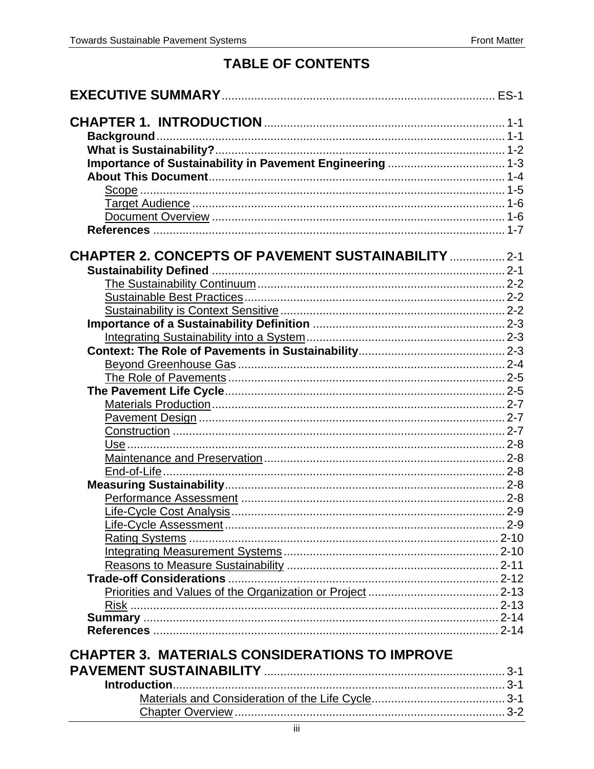#### **TABLE OF CONTENTS**

| Importance of Sustainability in Pavement Engineering  1-3  |  |
|------------------------------------------------------------|--|
|                                                            |  |
|                                                            |  |
|                                                            |  |
|                                                            |  |
|                                                            |  |
|                                                            |  |
| <b>CHAPTER 2. CONCEPTS OF PAVEMENT SUSTAINABILITY  2-1</b> |  |
|                                                            |  |
|                                                            |  |
|                                                            |  |
|                                                            |  |
|                                                            |  |
|                                                            |  |
|                                                            |  |
|                                                            |  |
|                                                            |  |
|                                                            |  |
|                                                            |  |
|                                                            |  |
|                                                            |  |
|                                                            |  |
|                                                            |  |
|                                                            |  |
|                                                            |  |
|                                                            |  |
|                                                            |  |
|                                                            |  |
|                                                            |  |
|                                                            |  |
|                                                            |  |
|                                                            |  |
|                                                            |  |
|                                                            |  |
|                                                            |  |
|                                                            |  |
|                                                            |  |
| <b>CHAPTER 3. MATERIALS CONSIDERATIONS TO IMPROVE</b>      |  |
|                                                            |  |
|                                                            |  |
|                                                            |  |
|                                                            |  |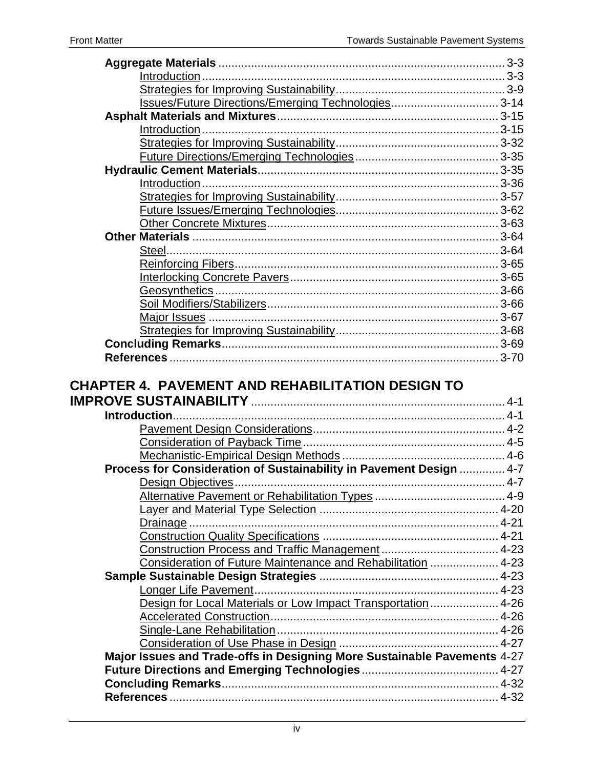| Issues/Future Directions/Emerging Technologies 3-14                 |  |
|---------------------------------------------------------------------|--|
|                                                                     |  |
|                                                                     |  |
|                                                                     |  |
|                                                                     |  |
|                                                                     |  |
|                                                                     |  |
|                                                                     |  |
|                                                                     |  |
|                                                                     |  |
|                                                                     |  |
|                                                                     |  |
|                                                                     |  |
|                                                                     |  |
|                                                                     |  |
|                                                                     |  |
|                                                                     |  |
|                                                                     |  |
|                                                                     |  |
|                                                                     |  |
|                                                                     |  |
| <b>CHAPTER 4. PAVEMENT AND REHABILITATION DESIGN TO</b>             |  |
|                                                                     |  |
|                                                                     |  |
|                                                                     |  |
|                                                                     |  |
|                                                                     |  |
| Process for Consideration of Sustainability in Pavement Design  4-7 |  |
|                                                                     |  |
|                                                                     |  |
|                                                                     |  |

|                                | <b>CHAPTER 4. PAVEMENT AND REHABILITATION DESIGN TO</b> |  |
|--------------------------------|---------------------------------------------------------|--|
| ,,,,,,,,,,,,,,,,,,,,,,,,,,,,,, |                                                         |  |

| Process for Consideration of Sustainability in Pavement Design  4-7      |  |
|--------------------------------------------------------------------------|--|
|                                                                          |  |
|                                                                          |  |
|                                                                          |  |
|                                                                          |  |
|                                                                          |  |
|                                                                          |  |
| Consideration of Future Maintenance and Rehabilitation  4-23             |  |
|                                                                          |  |
|                                                                          |  |
| Design for Local Materials or Low Impact Transportation  4-26            |  |
|                                                                          |  |
|                                                                          |  |
|                                                                          |  |
| Major Issues and Trade-offs in Designing More Sustainable Pavements 4-27 |  |
|                                                                          |  |
|                                                                          |  |
|                                                                          |  |
|                                                                          |  |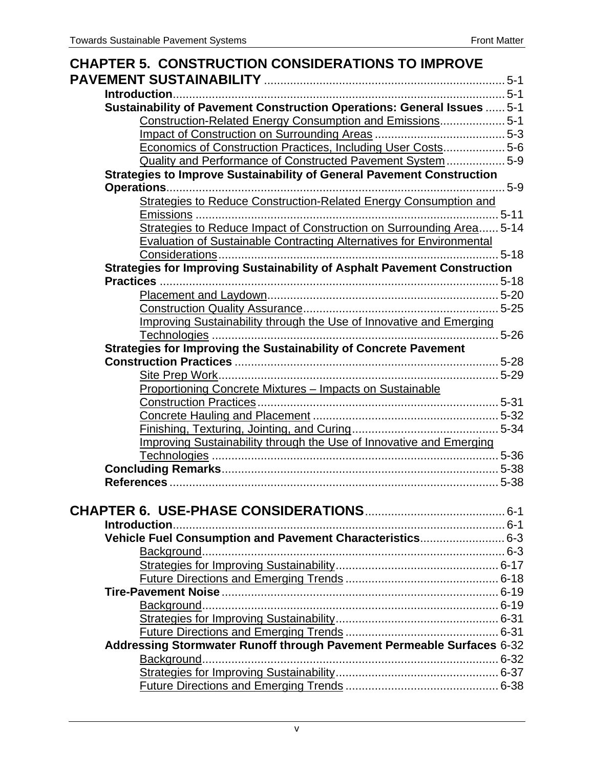| <b>CHAPTER 5. CONSTRUCTION CONSIDERATIONS TO IMPROVE</b>                        |  |
|---------------------------------------------------------------------------------|--|
|                                                                                 |  |
|                                                                                 |  |
| Sustainability of Pavement Construction Operations: General Issues  5-1         |  |
| Construction-Related Energy Consumption and Emissions 5-1                       |  |
|                                                                                 |  |
| Economics of Construction Practices, Including User Costs 5-6                   |  |
| Quality and Performance of Constructed Pavement System  5-9                     |  |
| <b>Strategies to Improve Sustainability of General Pavement Construction</b>    |  |
|                                                                                 |  |
| <b>Strategies to Reduce Construction-Related Energy Consumption and</b>         |  |
|                                                                                 |  |
| Strategies to Reduce Impact of Construction on Surrounding Area 5-14            |  |
| <b>Evaluation of Sustainable Contracting Alternatives for Environmental</b>     |  |
|                                                                                 |  |
| <b>Strategies for Improving Sustainability of Asphalt Pavement Construction</b> |  |
|                                                                                 |  |
|                                                                                 |  |
|                                                                                 |  |
| Improving Sustainability through the Use of Innovative and Emerging             |  |
| Strategies for Improving the Sustainability of Concrete Pavement                |  |
|                                                                                 |  |
|                                                                                 |  |
| Proportioning Concrete Mixtures - Impacts on Sustainable                        |  |
|                                                                                 |  |
|                                                                                 |  |
|                                                                                 |  |
| Improving Sustainability through the Use of Innovative and Emerging             |  |
|                                                                                 |  |
|                                                                                 |  |
|                                                                                 |  |
|                                                                                 |  |
|                                                                                 |  |
|                                                                                 |  |
| Vehicle Fuel Consumption and Pavement Characteristics 6-3                       |  |
|                                                                                 |  |
|                                                                                 |  |
|                                                                                 |  |
|                                                                                 |  |
|                                                                                 |  |
|                                                                                 |  |
|                                                                                 |  |
| Addressing Stormwater Runoff through Pavement Permeable Surfaces 6-32           |  |
|                                                                                 |  |
|                                                                                 |  |
|                                                                                 |  |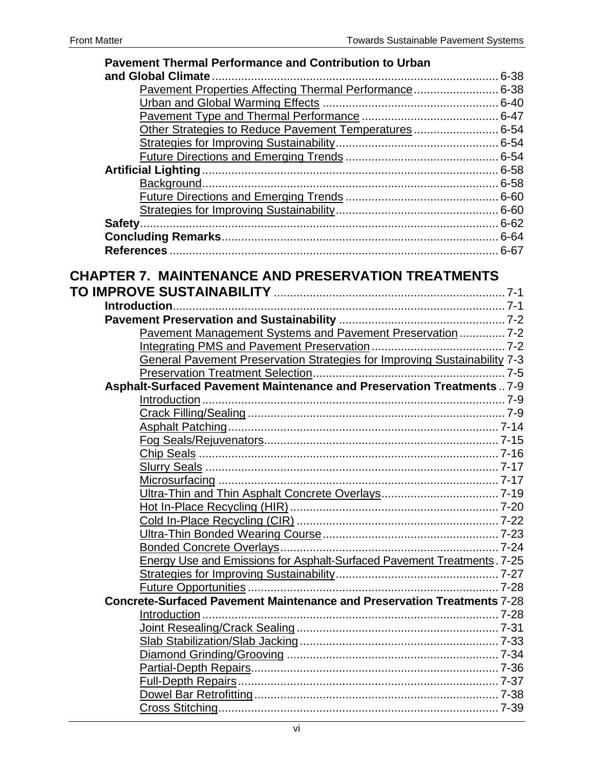| <b>Pavement Thermal Performance and Contribution to Urban</b>             |  |
|---------------------------------------------------------------------------|--|
| and Global Climate                                                        |  |
| Pavement Properties Affecting Thermal Performance 6-38                    |  |
|                                                                           |  |
|                                                                           |  |
| Other Strategies to Reduce Pavement Temperatures 6-54                     |  |
|                                                                           |  |
|                                                                           |  |
|                                                                           |  |
|                                                                           |  |
|                                                                           |  |
|                                                                           |  |
|                                                                           |  |
|                                                                           |  |
|                                                                           |  |
|                                                                           |  |
| <b>CHAPTER 7. MAINTENANCE AND PRESERVATION TREATMENTS</b>                 |  |
|                                                                           |  |
|                                                                           |  |
|                                                                           |  |
| Pavement Management Systems and Pavement Preservation  7-2                |  |
|                                                                           |  |
| General Pavement Preservation Strategies for Improving Sustainability 7-3 |  |
|                                                                           |  |
| Asphalt-Surfaced Pavement Maintenance and Preservation Treatments7-9      |  |
|                                                                           |  |
|                                                                           |  |
|                                                                           |  |
|                                                                           |  |
|                                                                           |  |
|                                                                           |  |
|                                                                           |  |
|                                                                           |  |
|                                                                           |  |
|                                                                           |  |
|                                                                           |  |
|                                                                           |  |
|                                                                           |  |
| Energy Use and Emissions for Asphalt-Surfaced Pavement Treatments. 7-25   |  |
|                                                                           |  |
|                                                                           |  |
|                                                                           |  |
| Concrete-Surfaced Pavement Maintenance and Preservation Treatments 7-28   |  |
|                                                                           |  |
|                                                                           |  |
|                                                                           |  |
|                                                                           |  |
|                                                                           |  |
|                                                                           |  |
|                                                                           |  |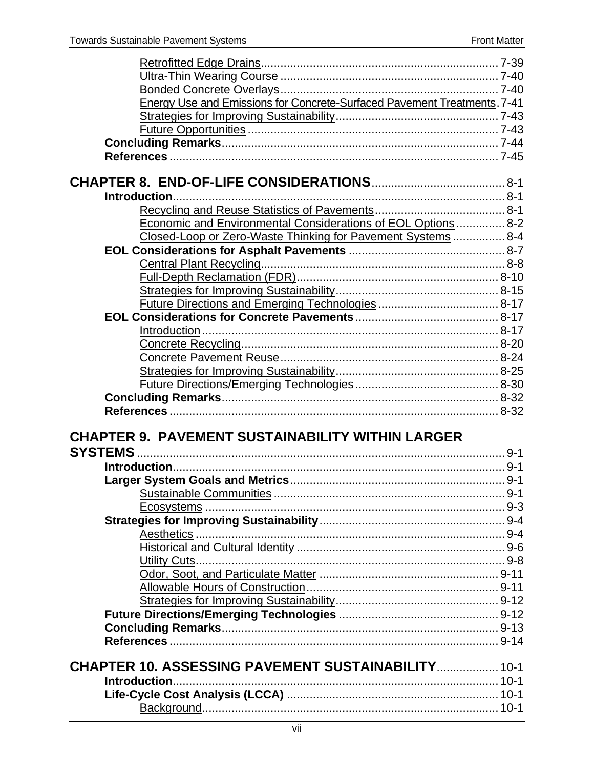| Energy Use and Emissions for Concrete-Surfaced Pavement Treatments. 7-41 |  |
|--------------------------------------------------------------------------|--|
|                                                                          |  |
|                                                                          |  |
|                                                                          |  |
|                                                                          |  |
|                                                                          |  |
|                                                                          |  |
|                                                                          |  |
|                                                                          |  |
| Economic and Environmental Considerations of EOL Options  8-2            |  |
| Closed-Loop or Zero-Waste Thinking for Pavement Systems  8-4             |  |
|                                                                          |  |
|                                                                          |  |
|                                                                          |  |
|                                                                          |  |
|                                                                          |  |
|                                                                          |  |
|                                                                          |  |
|                                                                          |  |
|                                                                          |  |
|                                                                          |  |
|                                                                          |  |
|                                                                          |  |
|                                                                          |  |
|                                                                          |  |
| <b>CHAPTER 9. PAVEMENT SUSTAINABILITY WITHIN LARGER</b>                  |  |
|                                                                          |  |
|                                                                          |  |
|                                                                          |  |
|                                                                          |  |
|                                                                          |  |
|                                                                          |  |
|                                                                          |  |
|                                                                          |  |
|                                                                          |  |
|                                                                          |  |
|                                                                          |  |
|                                                                          |  |
|                                                                          |  |
|                                                                          |  |
|                                                                          |  |
|                                                                          |  |
| <b>CHAPTER 10. ASSESSING PAVEMENT SUSTAINABILITY 10-1</b>                |  |
|                                                                          |  |
|                                                                          |  |
|                                                                          |  |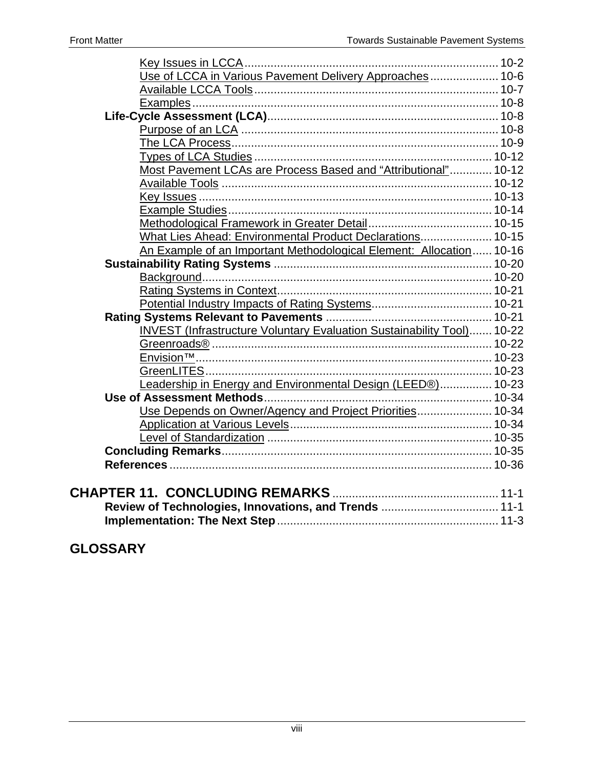| Use of LCCA in Various Pavement Delivery Approaches 10-6                      |  |
|-------------------------------------------------------------------------------|--|
|                                                                               |  |
|                                                                               |  |
|                                                                               |  |
|                                                                               |  |
|                                                                               |  |
|                                                                               |  |
| Most Pavement LCAs are Process Based and "Attributional" 10-12                |  |
|                                                                               |  |
|                                                                               |  |
|                                                                               |  |
|                                                                               |  |
| What Lies Ahead: Environmental Product Declarations 10-15                     |  |
| An Example of an Important Methodological Element: Allocation 10-16           |  |
|                                                                               |  |
|                                                                               |  |
|                                                                               |  |
|                                                                               |  |
|                                                                               |  |
| <b>INVEST (Infrastructure Voluntary Evaluation Sustainability Tool) 10-22</b> |  |
|                                                                               |  |
|                                                                               |  |
|                                                                               |  |
| Leadership in Energy and Environmental Design (LEED®) 10-23                   |  |
|                                                                               |  |
| Use Depends on Owner/Agency and Project Priorities 10-34                      |  |
|                                                                               |  |
|                                                                               |  |
|                                                                               |  |
|                                                                               |  |
|                                                                               |  |
|                                                                               |  |
| Review of Technologies, Innovations, and Trends  11-1                         |  |
|                                                                               |  |

### **GLOSSARY**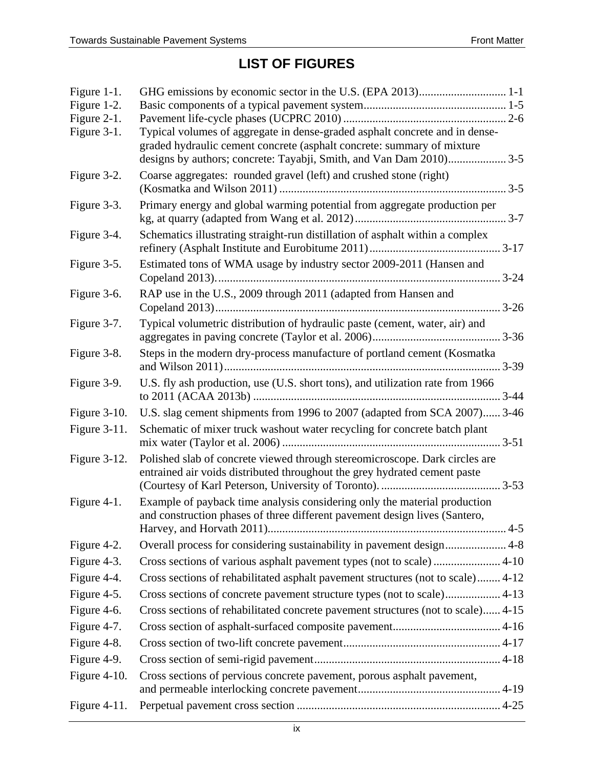## **LIST OF FIGURES**

| Figure 1-1.<br>Figure 1-2.<br>Figure 2-1. |                                                                                                                                                          |
|-------------------------------------------|----------------------------------------------------------------------------------------------------------------------------------------------------------|
| Figure 3-1.                               | Typical volumes of aggregate in dense-graded asphalt concrete and in dense-<br>graded hydraulic cement concrete (asphalt concrete: summary of mixture    |
| Figure 3-2.                               | Coarse aggregates: rounded gravel (left) and crushed stone (right)                                                                                       |
| Figure 3-3.                               | Primary energy and global warming potential from aggregate production per                                                                                |
| Figure 3-4.                               | Schematics illustrating straight-run distillation of asphalt within a complex                                                                            |
| Figure 3-5.                               | Estimated tons of WMA usage by industry sector 2009-2011 (Hansen and                                                                                     |
| Figure 3-6.                               | RAP use in the U.S., 2009 through 2011 (adapted from Hansen and                                                                                          |
| Figure 3-7.                               | Typical volumetric distribution of hydraulic paste (cement, water, air) and                                                                              |
| Figure 3-8.                               | Steps in the modern dry-process manufacture of portland cement (Kosmatka                                                                                 |
| Figure 3-9.                               | U.S. fly ash production, use (U.S. short tons), and utilization rate from 1966                                                                           |
| Figure $3-10$ .                           | U.S. slag cement shipments from 1996 to 2007 (adapted from SCA 2007) 3-46                                                                                |
| Figure $3-11$ .                           | Schematic of mixer truck washout water recycling for concrete batch plant                                                                                |
| Figure 3-12.                              | Polished slab of concrete viewed through stereomicroscope. Dark circles are<br>entrained air voids distributed throughout the grey hydrated cement paste |
| Figure 4-1.                               | Example of payback time analysis considering only the material production<br>and construction phases of three different pavement design lives (Santero,  |
| Figure 4-2.                               | Overall process for considering sustainability in pavement design 4-8                                                                                    |
| Figure 4-3.                               | Cross sections of various asphalt pavement types (not to scale)  4-10                                                                                    |
| Figure 4-4.                               | Cross sections of rehabilitated asphalt pavement structures (not to scale) 4-12                                                                          |
| Figure 4-5.                               |                                                                                                                                                          |
| Figure 4-6.                               | Cross sections of rehabilitated concrete pavement structures (not to scale) 4-15                                                                         |
| Figure 4-7.                               |                                                                                                                                                          |
| Figure 4-8.                               |                                                                                                                                                          |
| Figure 4-9.                               |                                                                                                                                                          |
| Figure $4-10$ .                           | Cross sections of pervious concrete pavement, porous asphalt pavement,                                                                                   |
|                                           |                                                                                                                                                          |
| Figure $4-11$ .                           |                                                                                                                                                          |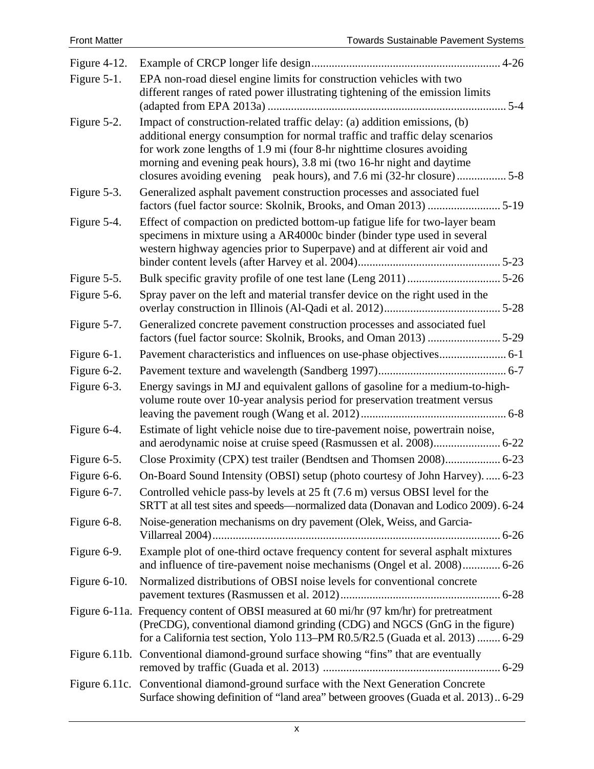| Figure $4-12$ .  |                                                                                                                                                                                                                                                                                                             |  |
|------------------|-------------------------------------------------------------------------------------------------------------------------------------------------------------------------------------------------------------------------------------------------------------------------------------------------------------|--|
| Figure 5-1.      | EPA non-road diesel engine limits for construction vehicles with two<br>different ranges of rated power illustrating tightening of the emission limits                                                                                                                                                      |  |
| Figure 5-2.      | Impact of construction-related traffic delay: (a) addition emissions, (b)<br>additional energy consumption for normal traffic and traffic delay scenarios<br>for work zone lengths of 1.9 mi (four 8-hr nighttime closures avoiding<br>morning and evening peak hours), 3.8 mi (two 16-hr night and daytime |  |
| Figure 5-3.      | Generalized asphalt pavement construction processes and associated fuel                                                                                                                                                                                                                                     |  |
| Figure 5-4.      | Effect of compaction on predicted bottom-up fatigue life for two-layer beam<br>specimens in mixture using a AR4000c binder (binder type used in several<br>western highway agencies prior to Superpave) and at different air void and                                                                       |  |
| Figure 5-5.      |                                                                                                                                                                                                                                                                                                             |  |
| Figure 5-6.      | Spray paver on the left and material transfer device on the right used in the                                                                                                                                                                                                                               |  |
| Figure 5-7.      | Generalized concrete pavement construction processes and associated fuel                                                                                                                                                                                                                                    |  |
| Figure 6-1.      |                                                                                                                                                                                                                                                                                                             |  |
| Figure 6-2.      |                                                                                                                                                                                                                                                                                                             |  |
| Figure 6-3.      | Energy savings in MJ and equivalent gallons of gasoline for a medium-to-high-<br>volume route over 10-year analysis period for preservation treatment versus                                                                                                                                                |  |
| Figure 6-4.      | Estimate of light vehicle noise due to tire-pavement noise, powertrain noise,                                                                                                                                                                                                                               |  |
| Figure 6-5.      |                                                                                                                                                                                                                                                                                                             |  |
| Figure 6-6.      | On-Board Sound Intensity (OBSI) setup (photo courtesy of John Harvey).  6-23                                                                                                                                                                                                                                |  |
| Figure 6-7.      | Controlled vehicle pass-by levels at 25 ft (7.6 m) versus OBSI level for the<br>SRTT at all test sites and speeds—normalized data (Donavan and Lodico 2009). 6-24                                                                                                                                           |  |
| Figure 6-8.      | Noise-generation mechanisms on dry pavement (Olek, Weiss, and Garcia-                                                                                                                                                                                                                                       |  |
| Figure 6-9.      | Example plot of one-third octave frequency content for several asphalt mixtures<br>and influence of tire-pavement noise mechanisms (Ongel et al. 2008) 6-26                                                                                                                                                 |  |
| Figure $6-10$ .  | Normalized distributions of OBSI noise levels for conventional concrete                                                                                                                                                                                                                                     |  |
|                  | Figure 6-11a. Frequency content of OBSI measured at 60 mi/hr (97 km/hr) for pretreatment<br>(PreCDG), conventional diamond grinding (CDG) and NGCS (GnG in the figure)<br>for a California test section, Yolo 113-PM R0.5/R2.5 (Guada et al. 2013)  6-29                                                    |  |
|                  | Figure 6.11b. Conventional diamond-ground surface showing "fins" that are eventually                                                                                                                                                                                                                        |  |
| Figure $6.11c$ . | Conventional diamond-ground surface with the Next Generation Concrete<br>Surface showing definition of "land area" between grooves (Guada et al. 2013) 6-29                                                                                                                                                 |  |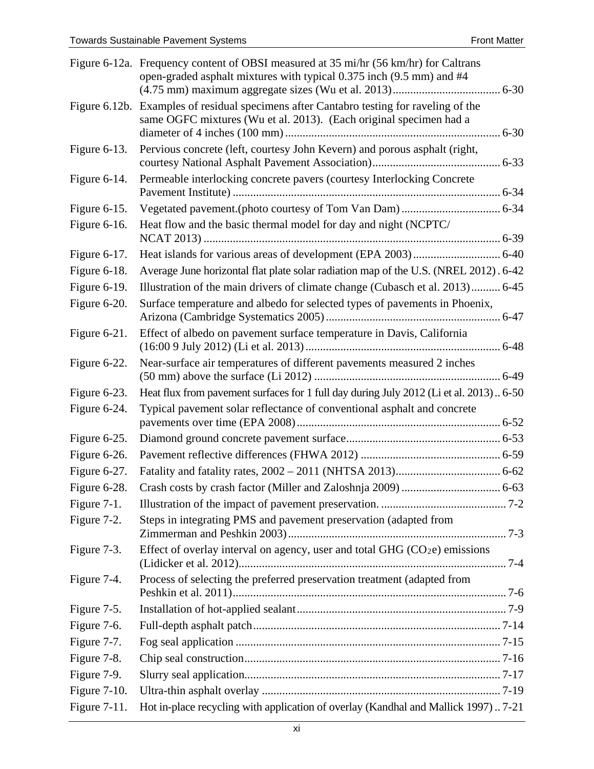|                 | Figure 6-12a. Frequency content of OBSI measured at 35 mi/hr (56 km/hr) for Caltrans<br>open-graded asphalt mixtures with typical 0.375 inch (9.5 mm) and #4  |
|-----------------|---------------------------------------------------------------------------------------------------------------------------------------------------------------|
|                 | Figure 6.12b. Examples of residual specimens after Cantabro testing for raveling of the<br>same OGFC mixtures (Wu et al. 2013). (Each original specimen had a |
| Figure $6-13$ . | Pervious concrete (left, courtesy John Kevern) and porous asphalt (right,                                                                                     |
| Figure 6-14.    | Permeable interlocking concrete pavers (courtesy Interlocking Concrete                                                                                        |
| Figure $6-15$ . |                                                                                                                                                               |
| Figure $6-16$ . | Heat flow and the basic thermal model for day and night (NCPTC/                                                                                               |
| Figure $6-17$ . |                                                                                                                                                               |
| Figure $6-18$ . | Average June horizontal flat plate solar radiation map of the U.S. (NREL 2012). 6-42                                                                          |
| Figure 6-19.    | Illustration of the main drivers of climate change (Cubasch et al. 2013) 6-45                                                                                 |
| Figure 6-20.    | Surface temperature and albedo for selected types of pavements in Phoenix,                                                                                    |
| Figure $6-21$ . | Effect of albedo on pavement surface temperature in Davis, California                                                                                         |
| Figure 6-22.    | Near-surface air temperatures of different pavements measured 2 inches                                                                                        |
| Figure 6-23.    | Heat flux from pavement surfaces for 1 full day during July 2012 (Li et al. 2013) 6-50                                                                        |
| Figure 6-24.    | Typical pavement solar reflectance of conventional asphalt and concrete                                                                                       |
| Figure 6-25.    |                                                                                                                                                               |
| Figure 6-26.    |                                                                                                                                                               |
| Figure 6-27.    |                                                                                                                                                               |
| Figure 6-28.    |                                                                                                                                                               |
| Figure $7-1$ .  |                                                                                                                                                               |
| Figure 7-2.     | Steps in integrating PMS and pavement preservation (adapted from                                                                                              |
| Figure 7-3.     | Effect of overlay interval on agency, user and total GHG $(CO2e)$ emissions                                                                                   |
| Figure 7-4.     | Process of selecting the preferred preservation treatment (adapted from                                                                                       |
| Figure 7-5.     |                                                                                                                                                               |
| Figure 7-6.     |                                                                                                                                                               |
| Figure 7-7.     |                                                                                                                                                               |
| Figure 7-8.     |                                                                                                                                                               |
| Figure 7-9.     |                                                                                                                                                               |
| Figure $7-10$ . |                                                                                                                                                               |
| Figure $7-11$ . | Hot in-place recycling with application of overlay (Kandhal and Mallick 1997)7-21                                                                             |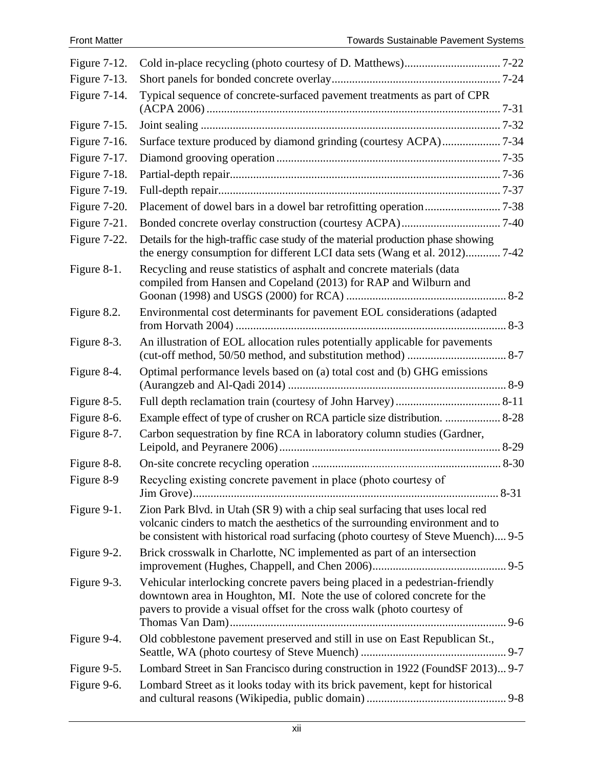| Figure $7-12$ . |                                                                                                                                                                                                                                                      |         |
|-----------------|------------------------------------------------------------------------------------------------------------------------------------------------------------------------------------------------------------------------------------------------------|---------|
| Figure 7-13.    |                                                                                                                                                                                                                                                      |         |
| Figure 7-14.    | Typical sequence of concrete-surfaced pavement treatments as part of CPR                                                                                                                                                                             |         |
| Figure 7-15.    |                                                                                                                                                                                                                                                      |         |
| Figure 7-16.    | Surface texture produced by diamond grinding (courtesy ACPA)7-34                                                                                                                                                                                     |         |
| Figure $7-17$ . |                                                                                                                                                                                                                                                      |         |
| Figure 7-18.    |                                                                                                                                                                                                                                                      |         |
| Figure 7-19.    |                                                                                                                                                                                                                                                      |         |
| Figure 7-20.    |                                                                                                                                                                                                                                                      |         |
| Figure $7-21$ . |                                                                                                                                                                                                                                                      |         |
| Figure 7-22.    | Details for the high-traffic case study of the material production phase showing<br>the energy consumption for different LCI data sets (Wang et al. 2012) 7-42                                                                                       |         |
| Figure 8-1.     | Recycling and reuse statistics of asphalt and concrete materials (data<br>compiled from Hansen and Copeland (2013) for RAP and Wilburn and                                                                                                           |         |
| Figure 8.2.     | Environmental cost determinants for pavement EOL considerations (adapted                                                                                                                                                                             |         |
| Figure 8-3.     | An illustration of EOL allocation rules potentially applicable for pavements                                                                                                                                                                         |         |
| Figure 8-4.     | Optimal performance levels based on (a) total cost and (b) GHG emissions                                                                                                                                                                             |         |
| Figure 8-5.     |                                                                                                                                                                                                                                                      |         |
| Figure 8-6.     | Example effect of type of crusher on RCA particle size distribution.  8-28                                                                                                                                                                           |         |
| Figure 8-7.     | Carbon sequestration by fine RCA in laboratory column studies (Gardner,                                                                                                                                                                              |         |
| Figure 8-8.     |                                                                                                                                                                                                                                                      |         |
| Figure 8-9      | Recycling existing concrete pavement in place (photo courtesy of                                                                                                                                                                                     |         |
| Figure 9-1.     | Zion Park Blvd. in Utah (SR 9) with a chip seal surfacing that uses local red<br>volcanic cinders to match the aesthetics of the surrounding environment and to<br>be consistent with historical road surfacing (photo courtesy of Steve Muench) 9-5 |         |
| Figure 9-2.     | Brick crosswalk in Charlotte, NC implemented as part of an intersection                                                                                                                                                                              | $9 - 5$ |
| Figure 9-3.     | Vehicular interlocking concrete pavers being placed in a pedestrian-friendly<br>downtown area in Houghton, MI. Note the use of colored concrete for the<br>pavers to provide a visual offset for the cross walk (photo courtesy of                   |         |
| Figure 9-4.     | Old cobblestone pavement preserved and still in use on East Republican St.,                                                                                                                                                                          |         |
| Figure 9-5.     | Lombard Street in San Francisco during construction in 1922 (FoundSF 2013) 9-7                                                                                                                                                                       |         |
| Figure 9-6.     | Lombard Street as it looks today with its brick pavement, kept for historical                                                                                                                                                                        |         |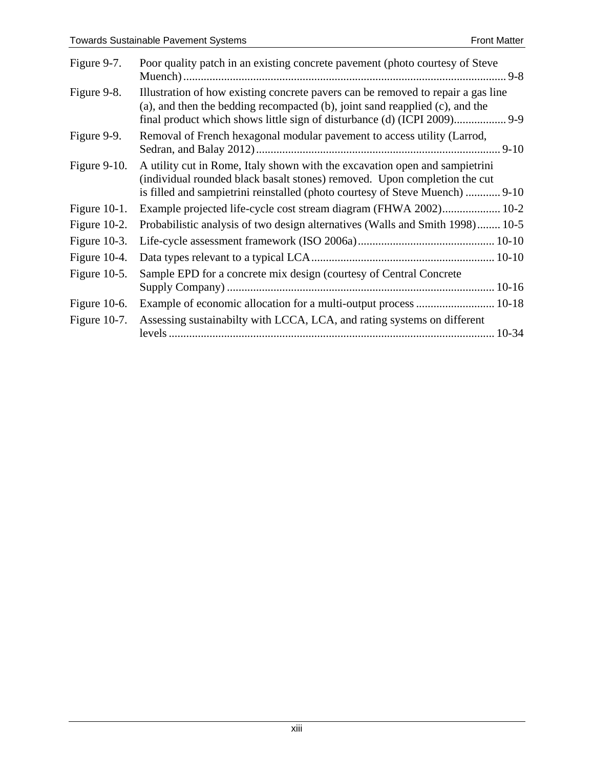| Figure 9-7.     | Poor quality patch in an existing concrete pavement (photo courtesy of Steve                                                                                                                                                             |
|-----------------|------------------------------------------------------------------------------------------------------------------------------------------------------------------------------------------------------------------------------------------|
| Figure 9-8.     | Illustration of how existing concrete pavers can be removed to repair a gas line<br>(a), and then the bedding recompacted (b), joint sand reapplied (c), and the                                                                         |
| Figure 9-9.     | Removal of French hexagonal modular pavement to access utility (Larrod,                                                                                                                                                                  |
| Figure $9-10$ . | A utility cut in Rome, Italy shown with the excavation open and sampletrini<br>(individual rounded black basalt stones) removed. Upon completion the cut<br>is filled and sampletrini reinstalled (photo courtesy of Steve Muench)  9-10 |
| Figure $10-1$ . | Example projected life-cycle cost stream diagram (FHWA 2002) 10-2                                                                                                                                                                        |
| Figure $10-2$ . | Probabilistic analysis of two design alternatives (Walls and Smith 1998) 10-5                                                                                                                                                            |
| Figure $10-3$ . |                                                                                                                                                                                                                                          |
| Figure 10-4.    |                                                                                                                                                                                                                                          |
| Figure $10-5$ . | Sample EPD for a concrete mix design (courtesy of Central Concrete                                                                                                                                                                       |
|                 |                                                                                                                                                                                                                                          |
| Figure $10-6$ . | Example of economic allocation for a multi-output process  10-18                                                                                                                                                                         |
| Figure $10-7$ . | Assessing sustainabilty with LCCA, LCA, and rating systems on different                                                                                                                                                                  |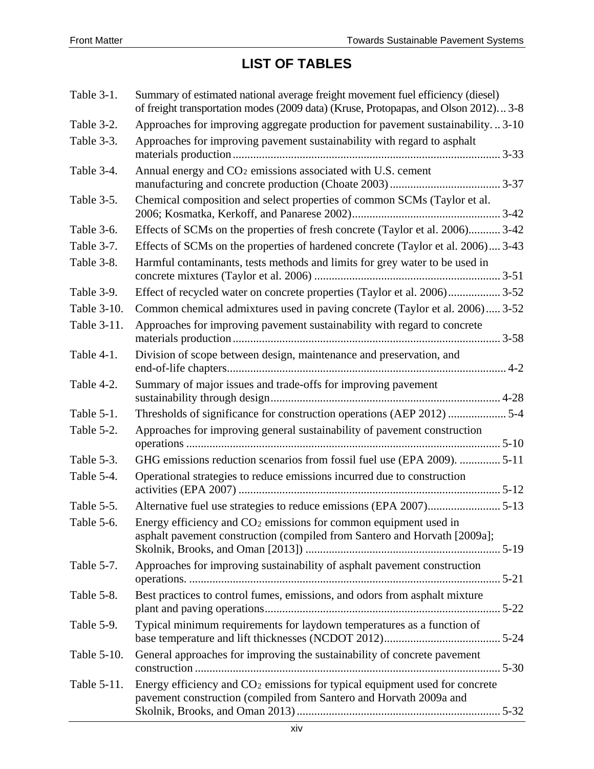# **LIST OF TABLES**

| Table 3-1.  | Summary of estimated national average freight movement fuel efficiency (diesel)<br>of freight transportation modes (2009 data) (Kruse, Protopapas, and Olson 2012) 3-8 |
|-------------|------------------------------------------------------------------------------------------------------------------------------------------------------------------------|
| Table 3-2.  | Approaches for improving aggregate production for pavement sustainability3-10                                                                                          |
| Table 3-3.  | Approaches for improving pavement sustainability with regard to asphalt                                                                                                |
| Table 3-4.  | Annual energy and CO <sub>2</sub> emissions associated with U.S. cement                                                                                                |
| Table 3-5.  | Chemical composition and select properties of common SCMs (Taylor et al.                                                                                               |
| Table 3-6.  | Effects of SCMs on the properties of fresh concrete (Taylor et al. 2006) 3-42                                                                                          |
| Table 3-7.  | Effects of SCMs on the properties of hardened concrete (Taylor et al. 2006) 3-43                                                                                       |
| Table 3-8.  | Harmful contaminants, tests methods and limits for grey water to be used in                                                                                            |
| Table 3-9.  | Effect of recycled water on concrete properties (Taylor et al. 2006)3-52                                                                                               |
| Table 3-10. | Common chemical admixtures used in paving concrete (Taylor et al. 2006) 3-52                                                                                           |
| Table 3-11. | Approaches for improving pavement sustainability with regard to concrete                                                                                               |
| Table 4-1.  | Division of scope between design, maintenance and preservation, and                                                                                                    |
| Table 4-2.  | Summary of major issues and trade-offs for improving pavement                                                                                                          |
| Table 5-1.  | Thresholds of significance for construction operations (AEP 2012) 5-4                                                                                                  |
| Table 5-2.  | Approaches for improving general sustainability of pavement construction                                                                                               |
| Table 5-3.  | GHG emissions reduction scenarios from fossil fuel use (EPA 2009).  5-11                                                                                               |
| Table 5-4.  | Operational strategies to reduce emissions incurred due to construction                                                                                                |
| Table 5-5.  | Alternative fuel use strategies to reduce emissions (EPA 2007)5-13                                                                                                     |
| Table 5-6.  | Energy efficiency and CO <sub>2</sub> emissions for common equipment used in<br>asphalt pavement construction (compiled from Santero and Horvath [2009a];              |
| Table 5-7.  | Approaches for improving sustainability of asphalt pavement construction                                                                                               |
| Table 5-8.  | Best practices to control fumes, emissions, and odors from asphalt mixture                                                                                             |
| Table 5-9.  | Typical minimum requirements for laydown temperatures as a function of                                                                                                 |
| Table 5-10. | General approaches for improving the sustainability of concrete pavement                                                                                               |
| Table 5-11. | Energy efficiency and CO <sub>2</sub> emissions for typical equipment used for concrete<br>pavement construction (compiled from Santero and Horvath 2009a and          |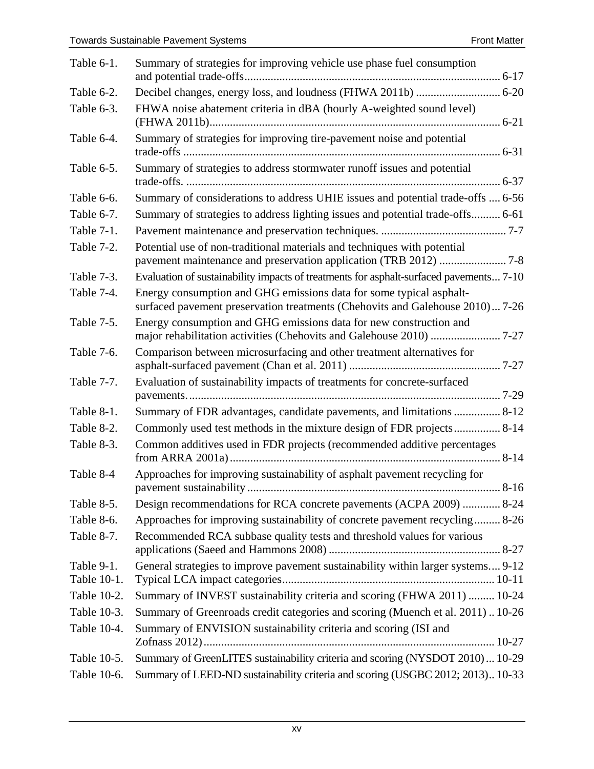| Table 6-1.                | Summary of strategies for improving vehicle use phase fuel consumption                                                                               |
|---------------------------|------------------------------------------------------------------------------------------------------------------------------------------------------|
| Table 6-2.                |                                                                                                                                                      |
| Table 6-3.                | FHWA noise abatement criteria in dBA (hourly A-weighted sound level)                                                                                 |
| Table 6-4.                | Summary of strategies for improving tire-pavement noise and potential                                                                                |
| Table 6-5.                | Summary of strategies to address stormwater runoff issues and potential                                                                              |
| Table 6-6.                | Summary of considerations to address UHIE issues and potential trade-offs  6-56                                                                      |
| Table 6-7.                | Summary of strategies to address lighting issues and potential trade-offs 6-61                                                                       |
| Table 7-1.                |                                                                                                                                                      |
| Table 7-2.                | Potential use of non-traditional materials and techniques with potential                                                                             |
| Table 7-3.                | Evaluation of sustainability impacts of treatments for asphalt-surfaced pavements 7-10                                                               |
| Table 7-4.                | Energy consumption and GHG emissions data for some typical asphalt-<br>surfaced pavement preservation treatments (Chehovits and Galehouse 2010) 7-26 |
| Table 7-5.                | Energy consumption and GHG emissions data for new construction and                                                                                   |
| Table 7-6.                | Comparison between microsurfacing and other treatment alternatives for                                                                               |
| Table 7-7.                | Evaluation of sustainability impacts of treatments for concrete-surfaced                                                                             |
| Table 8-1.                | Summary of FDR advantages, candidate pavements, and limitations  8-12                                                                                |
| Table 8-2.                | Commonly used test methods in the mixture design of FDR projects 8-14                                                                                |
| Table 8-3.                | Common additives used in FDR projects (recommended additive percentages                                                                              |
| Table 8-4                 | Approaches for improving sustainability of asphalt pavement recycling for<br>$8-16$                                                                  |
| Table 8-5.                | Design recommendations for RCA concrete pavements (ACPA 2009)  8-24                                                                                  |
| Table 8-6.                | Approaches for improving sustainability of concrete pavement recycling 8-26                                                                          |
| Table 8-7.                | Recommended RCA subbase quality tests and threshold values for various                                                                               |
| Table 9-1.<br>Table 10-1. | General strategies to improve pavement sustainability within larger systems 9-12                                                                     |
| Table 10-2.               | Summary of INVEST sustainability criteria and scoring (FHWA 2011)  10-24                                                                             |
| Table 10-3.               | Summary of Greenroads credit categories and scoring (Muench et al. 2011) 10-26                                                                       |
| Table 10-4.               | Summary of ENVISION sustainability criteria and scoring (ISI and                                                                                     |
| Table 10-5.               | Summary of GreenLITES sustainability criteria and scoring (NYSDOT 2010) 10-29                                                                        |
| Table 10-6.               | Summary of LEED-ND sustainability criteria and scoring (USGBC 2012; 2013) 10-33                                                                      |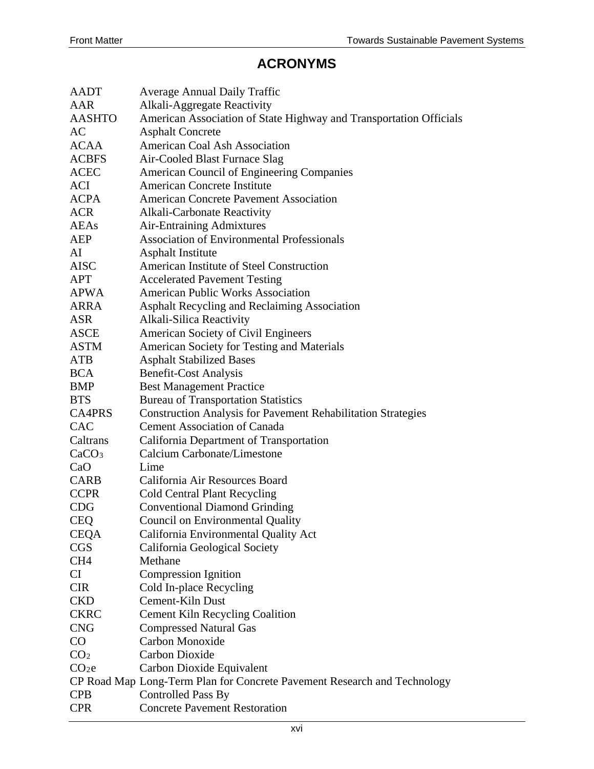#### **ACRONYMS**

| <b>AADT</b>       | <b>Average Annual Daily Traffic</b>                                      |
|-------------------|--------------------------------------------------------------------------|
| AAR               | Alkali-Aggregate Reactivity                                              |
| <b>AASHTO</b>     | American Association of State Highway and Transportation Officials       |
| AC                | <b>Asphalt Concrete</b>                                                  |
| <b>ACAA</b>       | <b>American Coal Ash Association</b>                                     |
| <b>ACBFS</b>      | Air-Cooled Blast Furnace Slag                                            |
| <b>ACEC</b>       | American Council of Engineering Companies                                |
| <b>ACI</b>        | <b>American Concrete Institute</b>                                       |
| <b>ACPA</b>       | <b>American Concrete Pavement Association</b>                            |
| <b>ACR</b>        | Alkali-Carbonate Reactivity                                              |
| <b>AEAs</b>       | <b>Air-Entraining Admixtures</b>                                         |
| <b>AEP</b>        | <b>Association of Environmental Professionals</b>                        |
| AI                | <b>Asphalt Institute</b>                                                 |
| <b>AISC</b>       | American Institute of Steel Construction                                 |
| <b>APT</b>        | <b>Accelerated Pavement Testing</b>                                      |
| <b>APWA</b>       | <b>American Public Works Association</b>                                 |
| <b>ARRA</b>       | Asphalt Recycling and Reclaiming Association                             |
| <b>ASR</b>        | Alkali-Silica Reactivity                                                 |
| <b>ASCE</b>       | American Society of Civil Engineers                                      |
| <b>ASTM</b>       | American Society for Testing and Materials                               |
| <b>ATB</b>        | <b>Asphalt Stabilized Bases</b>                                          |
| <b>BCA</b>        | <b>Benefit-Cost Analysis</b>                                             |
| BMP               | <b>Best Management Practice</b>                                          |
| <b>BTS</b>        | <b>Bureau of Transportation Statistics</b>                               |
| <b>CA4PRS</b>     | <b>Construction Analysis for Pavement Rehabilitation Strategies</b>      |
| CAC               | <b>Cement Association of Canada</b>                                      |
| Caltrans          | California Department of Transportation                                  |
| CaCO <sub>3</sub> | Calcium Carbonate/Limestone                                              |
| CaO               | Lime                                                                     |
| <b>CARB</b>       | California Air Resources Board                                           |
| <b>CCPR</b>       | <b>Cold Central Plant Recycling</b>                                      |
| <b>CDG</b>        | <b>Conventional Diamond Grinding</b>                                     |
| <b>CEQ</b>        | Council on Environmental Quality                                         |
| <b>CEQA</b>       | California Environmental Quality Act                                     |
| <b>CGS</b>        | California Geological Society                                            |
| CH <sub>4</sub>   | Methane                                                                  |
| CI                | Compression Ignition                                                     |
| <b>CIR</b>        | Cold In-place Recycling                                                  |
| <b>CKD</b>        | Cement-Kiln Dust                                                         |
| <b>CKRC</b>       | <b>Cement Kiln Recycling Coalition</b>                                   |
| <b>CNG</b>        | <b>Compressed Natural Gas</b>                                            |
| $\rm CO$          | Carbon Monoxide                                                          |
| CO <sub>2</sub>   | <b>Carbon Dioxide</b>                                                    |
| CO <sub>2</sub> e | Carbon Dioxide Equivalent                                                |
|                   | CP Road Map Long-Term Plan for Concrete Pavement Research and Technology |
| <b>CPB</b>        | Controlled Pass By                                                       |
| <b>CPR</b>        | <b>Concrete Pavement Restoration</b>                                     |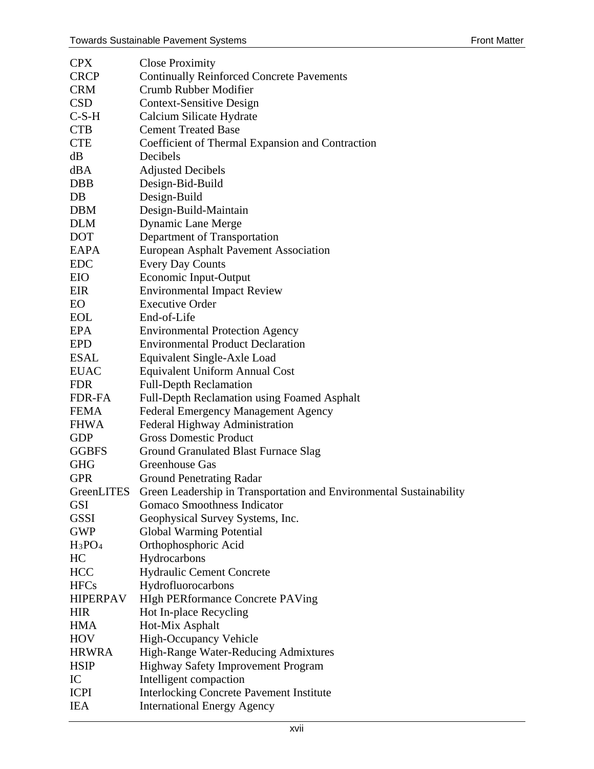| <b>CPX</b>      | <b>Close Proximity</b>                                              |
|-----------------|---------------------------------------------------------------------|
| <b>CRCP</b>     | <b>Continually Reinforced Concrete Pavements</b>                    |
| <b>CRM</b>      | Crumb Rubber Modifier                                               |
| <b>CSD</b>      | <b>Context-Sensitive Design</b>                                     |
| $C-S-H$         | Calcium Silicate Hydrate                                            |
| <b>CTB</b>      | <b>Cement Treated Base</b>                                          |
| <b>CTE</b>      | Coefficient of Thermal Expansion and Contraction                    |
| dB              | Decibels                                                            |
| dBA             | <b>Adjusted Decibels</b>                                            |
| <b>DBB</b>      | Design-Bid-Build                                                    |
| DB              | Design-Build                                                        |
| <b>DBM</b>      | Design-Build-Maintain                                               |
| <b>DLM</b>      | <b>Dynamic Lane Merge</b>                                           |
| <b>DOT</b>      | Department of Transportation                                        |
| EAPA            | <b>European Asphalt Pavement Association</b>                        |
| <b>EDC</b>      | <b>Every Day Counts</b>                                             |
| EIO             | Economic Input-Output                                               |
| EIR             | <b>Environmental Impact Review</b>                                  |
| EO.             | <b>Executive Order</b>                                              |
| <b>EOL</b>      | End-of-Life                                                         |
| EPA             | <b>Environmental Protection Agency</b>                              |
| <b>EPD</b>      | <b>Environmental Product Declaration</b>                            |
| <b>ESAL</b>     | Equivalent Single-Axle Load                                         |
| <b>EUAC</b>     | Equivalent Uniform Annual Cost                                      |
| <b>FDR</b>      | <b>Full-Depth Reclamation</b>                                       |
| FDR-FA          | <b>Full-Depth Reclamation using Foamed Asphalt</b>                  |
| <b>FEMA</b>     | <b>Federal Emergency Management Agency</b>                          |
| <b>FHWA</b>     | Federal Highway Administration                                      |
| <b>GDP</b>      | <b>Gross Domestic Product</b>                                       |
| <b>GGBFS</b>    | <b>Ground Granulated Blast Furnace Slag</b>                         |
| <b>GHG</b>      | Greenhouse Gas                                                      |
| <b>GPR</b>      | <b>Ground Penetrating Radar</b>                                     |
| GreenLITES      | Green Leadership in Transportation and Environmental Sustainability |
| <b>GSI</b>      | Gomaco Smoothness Indicator                                         |
| <b>GSSI</b>     | Geophysical Survey Systems, Inc.                                    |
| <b>GWP</b>      | <b>Global Warming Potential</b>                                     |
| $H_3PO_4$       | Orthophosphoric Acid                                                |
| HC              | Hydrocarbons                                                        |
| <b>HCC</b>      | Hydraulic Cement Concrete                                           |
| <b>HFCs</b>     | Hydrofluorocarbons                                                  |
| <b>HIPERPAV</b> | <b>HIgh PERformance Concrete PAVing</b>                             |
| <b>HIR</b>      | Hot In-place Recycling                                              |
| <b>HMA</b>      | Hot-Mix Asphalt                                                     |
| HOV             | High-Occupancy Vehicle                                              |
| <b>HRWRA</b>    | High-Range Water-Reducing Admixtures                                |
| <b>HSIP</b>     | Highway Safety Improvement Program                                  |
| IC              | Intelligent compaction                                              |
| <b>ICPI</b>     | <b>Interlocking Concrete Pavement Institute</b>                     |
| <b>IEA</b>      | <b>International Energy Agency</b>                                  |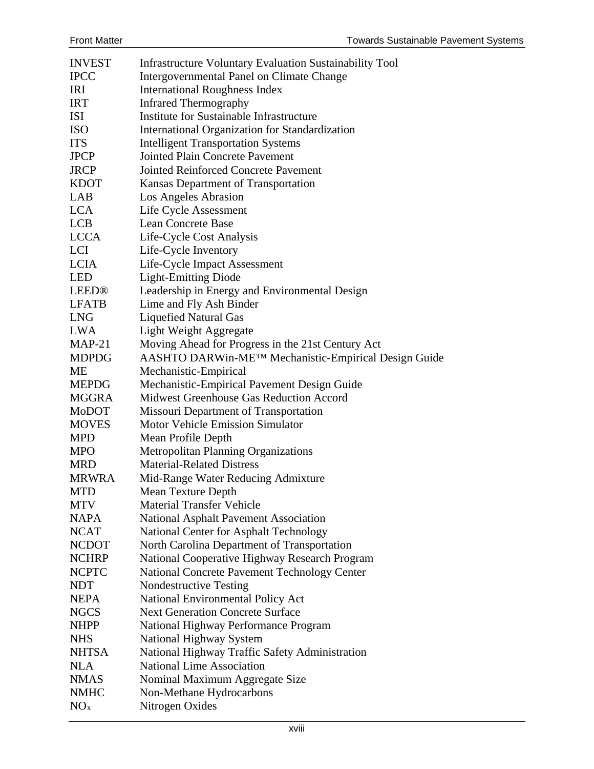| <b>INVEST</b>   | Infrastructure Voluntary Evaluation Sustainability Tool                   |
|-----------------|---------------------------------------------------------------------------|
| <b>IPCC</b>     | <b>Intergovernmental Panel on Climate Change</b>                          |
| IRI             | <b>International Roughness Index</b>                                      |
| <b>IRT</b>      | <b>Infrared Thermography</b>                                              |
| <b>ISI</b>      | Institute for Sustainable Infrastructure                                  |
| <b>ISO</b>      | International Organization for Standardization                            |
| <b>ITS</b>      | <b>Intelligent Transportation Systems</b>                                 |
| <b>JPCP</b>     | <b>Jointed Plain Concrete Pavement</b>                                    |
| <b>JRCP</b>     | <b>Jointed Reinforced Concrete Pavement</b>                               |
| <b>KDOT</b>     | Kansas Department of Transportation                                       |
| LAB             | Los Angeles Abrasion                                                      |
| <b>LCA</b>      | Life Cycle Assessment                                                     |
| <b>LCB</b>      | <b>Lean Concrete Base</b>                                                 |
| <b>LCCA</b>     | Life-Cycle Cost Analysis                                                  |
| <b>LCI</b>      | Life-Cycle Inventory                                                      |
| <b>LCIA</b>     | Life-Cycle Impact Assessment                                              |
| <b>LED</b>      | <b>Light-Emitting Diode</b>                                               |
| LEED®           | Leadership in Energy and Environmental Design                             |
| <b>LFATB</b>    | Lime and Fly Ash Binder                                                   |
| <b>LNG</b>      | <b>Liquefied Natural Gas</b>                                              |
| <b>LWA</b>      | Light Weight Aggregate                                                    |
| $MAP-21$        | Moving Ahead for Progress in the 21st Century Act                         |
| <b>MDPDG</b>    | AASHTO DARWin-ME™ Mechanistic-Empirical Design Guide                      |
| МE              | Mechanistic-Empirical                                                     |
| <b>MEPDG</b>    | Mechanistic-Empirical Pavement Design Guide                               |
| <b>MGGRA</b>    | Midwest Greenhouse Gas Reduction Accord                                   |
| MoDOT           | Missouri Department of Transportation                                     |
| <b>MOVES</b>    | <b>Motor Vehicle Emission Simulator</b>                                   |
| <b>MPD</b>      | Mean Profile Depth                                                        |
| <b>MPO</b>      | <b>Metropolitan Planning Organizations</b>                                |
| <b>MRD</b>      | <b>Material-Related Distress</b>                                          |
| <b>MRWRA</b>    | Mid-Range Water Reducing Admixture                                        |
| <b>MTD</b>      | <b>Mean Texture Depth</b>                                                 |
| <b>MTV</b>      | <b>Material Transfer Vehicle</b>                                          |
| <b>NAPA</b>     | <b>National Asphalt Pavement Association</b>                              |
| <b>NCAT</b>     | National Center for Asphalt Technology                                    |
| <b>NCDOT</b>    | North Carolina Department of Transportation                               |
| <b>NCHRP</b>    | National Cooperative Highway Research Program                             |
| <b>NCPTC</b>    | National Concrete Pavement Technology Center                              |
| <b>NDT</b>      |                                                                           |
| <b>NEPA</b>     | <b>Nondestructive Testing</b><br><b>National Environmental Policy Act</b> |
|                 | <b>Next Generation Concrete Surface</b>                                   |
| <b>NGCS</b>     |                                                                           |
| <b>NHPP</b>     | National Highway Performance Program                                      |
| <b>NHS</b>      | National Highway System                                                   |
| <b>NHTSA</b>    | National Highway Traffic Safety Administration                            |
| <b>NLA</b>      | <b>National Lime Association</b>                                          |
| <b>NMAS</b>     | Nominal Maximum Aggregate Size                                            |
| <b>NMHC</b>     | Non-Methane Hydrocarbons                                                  |
| NO <sub>x</sub> | Nitrogen Oxides                                                           |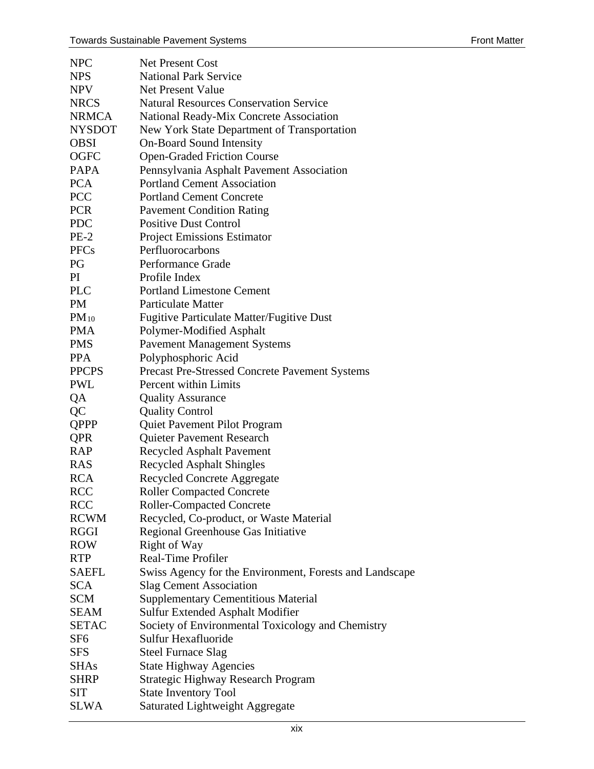| <b>NPC</b>    | <b>Net Present Cost</b>                                 |
|---------------|---------------------------------------------------------|
| <b>NPS</b>    | <b>National Park Service</b>                            |
| <b>NPV</b>    | <b>Net Present Value</b>                                |
| <b>NRCS</b>   | <b>Natural Resources Conservation Service</b>           |
| <b>NRMCA</b>  | National Ready-Mix Concrete Association                 |
| <b>NYSDOT</b> | New York State Department of Transportation             |
| <b>OBSI</b>   | <b>On-Board Sound Intensity</b>                         |
| <b>OGFC</b>   | <b>Open-Graded Friction Course</b>                      |
| <b>PAPA</b>   | Pennsylvania Asphalt Pavement Association               |
| <b>PCA</b>    | <b>Portland Cement Association</b>                      |
| <b>PCC</b>    | <b>Portland Cement Concrete</b>                         |
| <b>PCR</b>    | <b>Pavement Condition Rating</b>                        |
| <b>PDC</b>    | <b>Positive Dust Control</b>                            |
| $PE-2$        | <b>Project Emissions Estimator</b>                      |
| <b>PFCs</b>   | Perfluorocarbons                                        |
| PG            | Performance Grade                                       |
| PI            | Profile Index                                           |
| <b>PLC</b>    | <b>Portland Limestone Cement</b>                        |
| <b>PM</b>     | <b>Particulate Matter</b>                               |
| $PM_{10}$     | <b>Fugitive Particulate Matter/Fugitive Dust</b>        |
| <b>PMA</b>    | Polymer-Modified Asphalt                                |
| <b>PMS</b>    | <b>Pavement Management Systems</b>                      |
| <b>PPA</b>    | Polyphosphoric Acid                                     |
| <b>PPCPS</b>  | Precast Pre-Stressed Concrete Pavement Systems          |
| <b>PWL</b>    | <b>Percent within Limits</b>                            |
| QA            | <b>Quality Assurance</b>                                |
| QC            | <b>Quality Control</b>                                  |
| <b>QPPP</b>   | Quiet Pavement Pilot Program                            |
| <b>QPR</b>    | Quieter Pavement Research                               |
| RAP           | <b>Recycled Asphalt Pavement</b>                        |
| <b>RAS</b>    | <b>Recycled Asphalt Shingles</b>                        |
| <b>RCA</b>    | <b>Recycled Concrete Aggregate</b>                      |
| <b>RCC</b>    | <b>Roller Compacted Concrete</b>                        |
| <b>RCC</b>    | <b>Roller-Compacted Concrete</b>                        |
| <b>RCWM</b>   | Recycled, Co-product, or Waste Material                 |
| <b>RGGI</b>   | Regional Greenhouse Gas Initiative                      |
| <b>ROW</b>    | Right of Way                                            |
| <b>RTP</b>    | <b>Real-Time Profiler</b>                               |
| <b>SAEFL</b>  | Swiss Agency for the Environment, Forests and Landscape |
| <b>SCA</b>    | <b>Slag Cement Association</b>                          |
| <b>SCM</b>    | <b>Supplementary Cementitious Material</b>              |
| <b>SEAM</b>   | Sulfur Extended Asphalt Modifier                        |
| <b>SETAC</b>  | Society of Environmental Toxicology and Chemistry       |
| SF6           | Sulfur Hexafluoride                                     |
| <b>SFS</b>    | <b>Steel Furnace Slag</b>                               |
| <b>SHAs</b>   | <b>State Highway Agencies</b>                           |
| <b>SHRP</b>   | <b>Strategic Highway Research Program</b>               |
| SIT           | <b>State Inventory Tool</b>                             |
| <b>SLWA</b>   | Saturated Lightweight Aggregate                         |